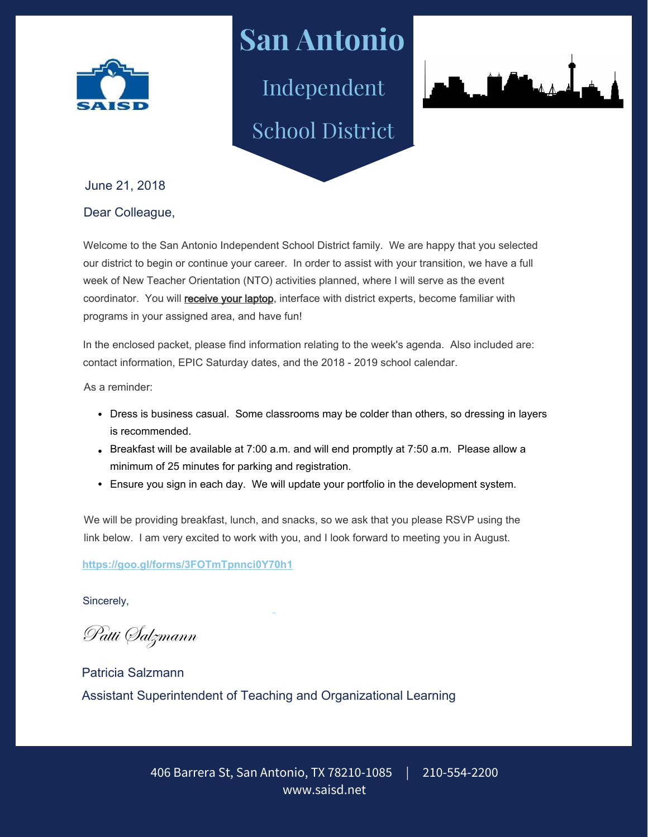

**San Antonio** Independent

School District



June 21, 2018

## Dear Colleague,

Welcome to the San Antonio Independent School District family. We are happy that you selected our district to begin or continue your career. In order to assist with your transition, we have a full week of New Teacher Orientation (NTO) activities planned, where I will serve as the event coordinator. You will receive your laptop, interface with district experts, become familiar with programs in your assigned area, and have fun!

In the enclosed packet, please find information relating to the week's agenda. Also included are: contact information, EPIC Saturday dates, and the 2018 - 2019 school calendar.

As a reminder:

- Dress is business casual. Some classrooms may be colder than others, so dressing in layers is recommended.
- Breakfast will be available at  $7:00$  a.m. and will end promptly at  $7:50$  a.m. Please allow a minimum of 25 minutes for parking and registration.
- Ensure you sign in each day. We will update your portfolio in the development system.

We will be providing breakfast, lunch, and snacks, so we ask that you please RSVP using the link below. I am very excited to work with you, and I look forward to meeting you in August.

## **https://goo.gl/forms/3FOTmTpnnci0Y70h1**

Sincerely,

Patti Salzmann

Patricia Salzmann Assistant Superintendent of Teaching and Organizational Learning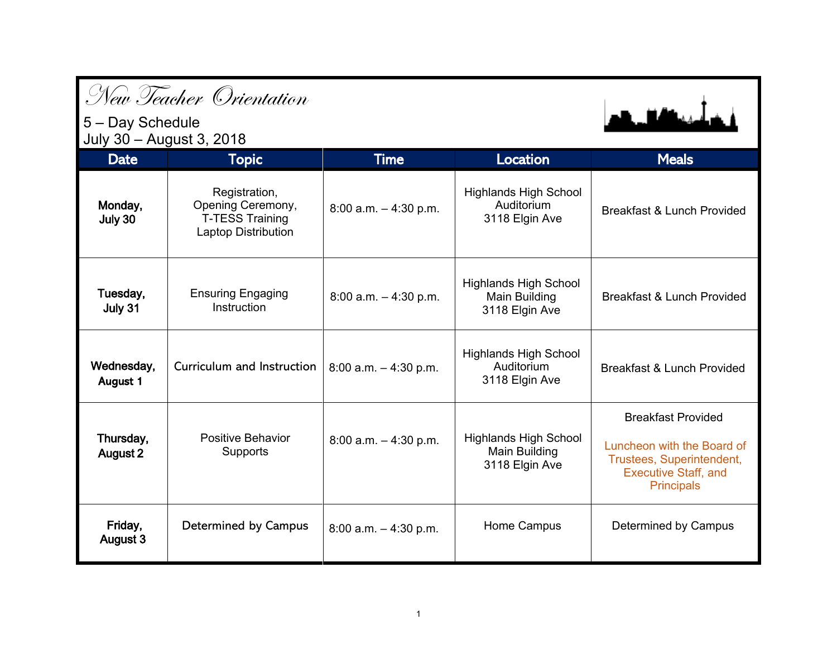|                                              | New Teacher Orientation                                                             |                          |                                                                 |                                                                                                                                          |
|----------------------------------------------|-------------------------------------------------------------------------------------|--------------------------|-----------------------------------------------------------------|------------------------------------------------------------------------------------------------------------------------------------------|
| 5 - Day Schedule<br>July 30 - August 3, 2018 |                                                                                     |                          |                                                                 | وأعمدته الباري والمرا                                                                                                                    |
| <b>Date</b>                                  | <b>Topic</b>                                                                        | <b>Time</b>              | <b>Location</b>                                                 | <b>Meals</b>                                                                                                                             |
| Monday,<br>July 30                           | Registration,<br>Opening Ceremony,<br><b>T-TESS Training</b><br>Laptop Distribution | 8:00 a.m. $-$ 4:30 p.m.  | <b>Highlands High School</b><br>Auditorium<br>3118 Elgin Ave    | <b>Breakfast &amp; Lunch Provided</b>                                                                                                    |
| Tuesday,<br>July 31                          | <b>Ensuring Engaging</b><br>Instruction                                             | $8:00$ a.m. $-4:30$ p.m. | <b>Highlands High School</b><br>Main Building<br>3118 Elgin Ave | <b>Breakfast &amp; Lunch Provided</b>                                                                                                    |
| Wednesday,<br>August 1                       | Curriculum and Instruction                                                          | $8:00$ a.m. $-4:30$ p.m. | <b>Highlands High School</b><br>Auditorium<br>3118 Elgin Ave    | <b>Breakfast &amp; Lunch Provided</b>                                                                                                    |
| Thursday,<br>August 2                        | Positive Behavior<br>Supports                                                       | $8:00$ a.m. $-4:30$ p.m. | <b>Highlands High School</b><br>Main Building<br>3118 Elgin Ave | <b>Breakfast Provided</b><br>Luncheon with the Board of<br>Trustees, Superintendent,<br><b>Executive Staff, and</b><br><b>Principals</b> |
| Friday,<br><b>August 3</b>                   | Determined by Campus                                                                | $8:00$ a.m. $-4:30$ p.m. | Home Campus                                                     | Determined by Campus                                                                                                                     |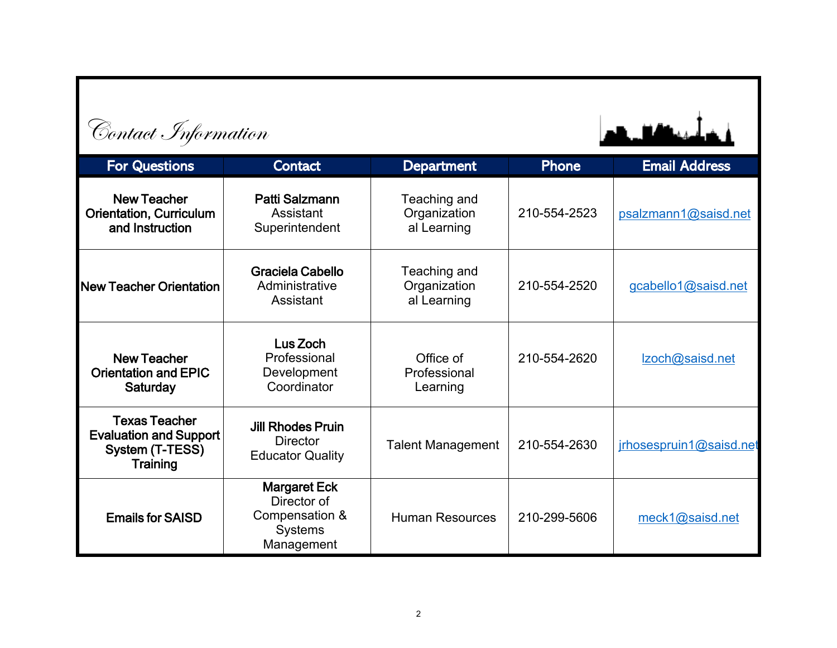| Contact Information                                                                  |                                                                                      |                                             |              |                         |
|--------------------------------------------------------------------------------------|--------------------------------------------------------------------------------------|---------------------------------------------|--------------|-------------------------|
| <b>For Questions</b>                                                                 | <b>Contact</b>                                                                       | <b>Department</b>                           | <b>Phone</b> | <b>Email Address</b>    |
| <b>New Teacher</b><br><b>Orientation, Curriculum</b><br>and Instruction              | Patti Salzmann<br>Assistant<br>Superintendent                                        | Teaching and<br>Organization<br>al Learning | 210-554-2523 | psalzmann1@saisd.net    |
| New Teacher Orientation                                                              | Graciela Cabello<br>Administrative<br>Assistant                                      | Teaching and<br>Organization<br>al Learning | 210-554-2520 | gcabello1@saisd.net     |
| <b>New Teacher</b><br><b>Orientation and EPIC</b><br>Saturday                        | Lus Zoch<br>Professional<br>Development<br>Coordinator                               | Office of<br>Professional<br>Learning       | 210-554-2620 | Izoch@saisd.net         |
| <b>Texas Teacher</b><br><b>Evaluation and Support</b><br>System (T-TESS)<br>Training | <b>Jill Rhodes Pruin</b><br><b>Director</b><br><b>Educator Quality</b>               | <b>Talent Management</b>                    | 210-554-2630 | irhosespruin1@saisd.net |
| <b>Emails for SAISD</b>                                                              | <b>Margaret Eck</b><br>Director of<br>Compensation &<br><b>Systems</b><br>Management | <b>Human Resources</b>                      | 210-299-5606 | meck1@saisd.net         |

**Contact** Information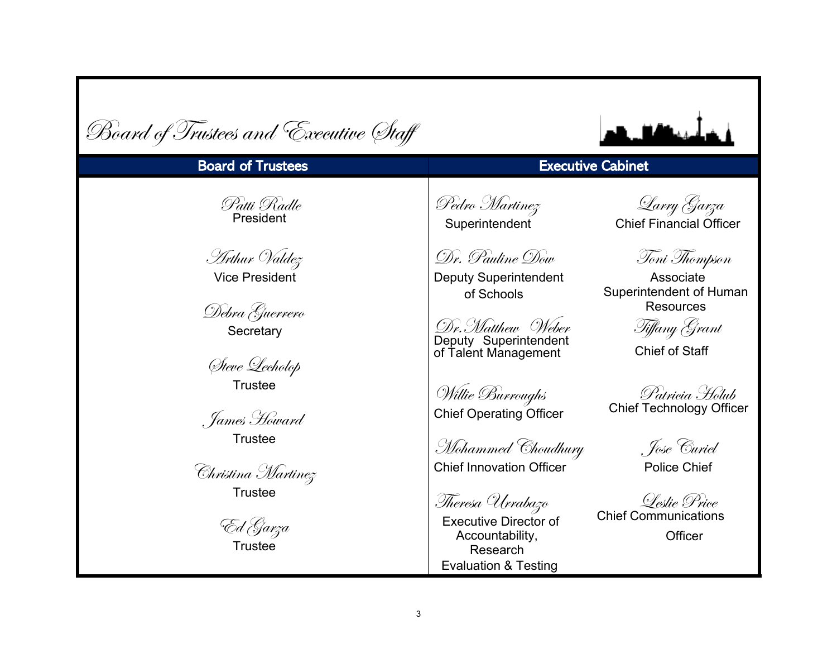| Board of Trustees and Executive Staff                                                                                                                                                 |                                                                                                                                                                                                                                                                       |                                                                                                                                                                                                                                               |
|---------------------------------------------------------------------------------------------------------------------------------------------------------------------------------------|-----------------------------------------------------------------------------------------------------------------------------------------------------------------------------------------------------------------------------------------------------------------------|-----------------------------------------------------------------------------------------------------------------------------------------------------------------------------------------------------------------------------------------------|
| <b>Board of Trustees</b>                                                                                                                                                              |                                                                                                                                                                                                                                                                       | <b>Executive Cabinet</b>                                                                                                                                                                                                                      |
| Patti Radle<br>President                                                                                                                                                              | Pedro Martinez<br>Superintendent                                                                                                                                                                                                                                      | Qarry Garza<br><b>Chief Financial Officer</b>                                                                                                                                                                                                 |
| Arthur Valdez<br><b>Vice President</b><br>Debra Guerrero<br>Secretary<br>Steve Lecholop<br><b>Trustee</b><br>, James Howard<br><b>Trustee</b><br>Christina Martinez<br><b>Trustee</b> | Dr. Pauline Dow<br><b>Deputy Superintendent</b><br>of Schools<br>Dr.Matthew Weber<br>Deputy Superintendent<br>of Talent Management<br>Willie Burroughs<br><b>Chief Operating Officer</b><br>Mohammed Choudhury<br><b>Chief Innovation Officer</b><br>Theresa Urrabazo | Toni Thompson<br>Associate<br>Superintendent of Human<br><b>Resources</b><br>Tiffany Grant<br><b>Chief of Staff</b><br>Patricia Holub<br><b>Chief Technology Officer</b><br>. Jose <sup>'</sup> Euriel<br><b>Police Chief</b><br>Leslie Price |
| `Ed Garza<br><b>Trustee</b>                                                                                                                                                           | <b>Executive Director of</b><br>Accountability,<br>Research<br><b>Evaluation &amp; Testing</b>                                                                                                                                                                        | <b>Chief Communications</b><br>Officer                                                                                                                                                                                                        |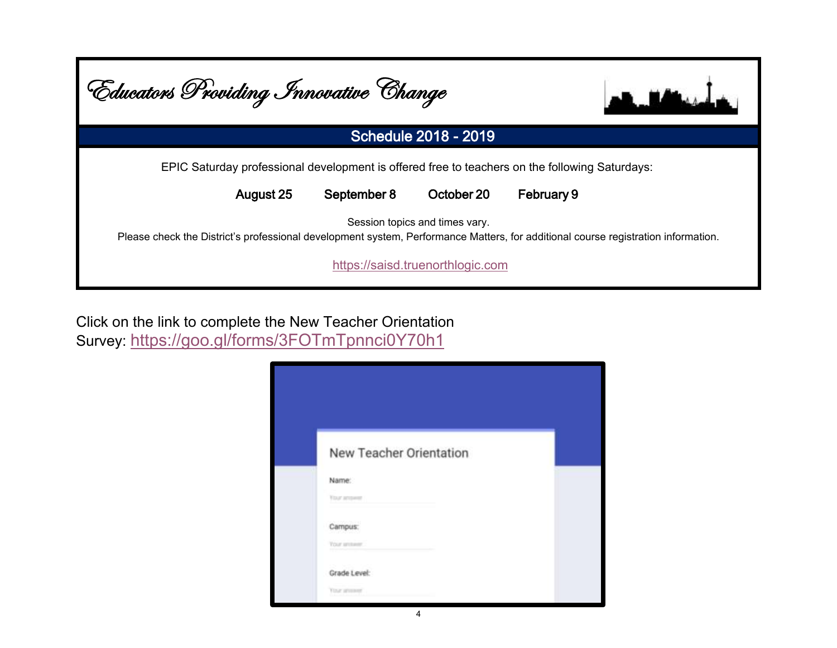| Educators Providing Innovative Change |             |                                  |                                                                                                                                   |
|---------------------------------------|-------------|----------------------------------|-----------------------------------------------------------------------------------------------------------------------------------|
|                                       |             | <b>Schedule 2018 - 2019</b>      |                                                                                                                                   |
|                                       |             |                                  | EPIC Saturday professional development is offered free to teachers on the following Saturdays:                                    |
| August 25                             | September 8 | October 20                       | February 9                                                                                                                        |
|                                       |             | Session topics and times vary.   | Please check the District's professional development system, Performance Matters, for additional course registration information. |
|                                       |             | https://saisd.truenorthlogic.com |                                                                                                                                   |

Click on the link to complete the New Teacher Orientation Survey: [https://goo.gl/forms/3FOTmTpnnci0](https://goo.gl/forms/3FOTmTpnnci0Y70h1)Y70h1